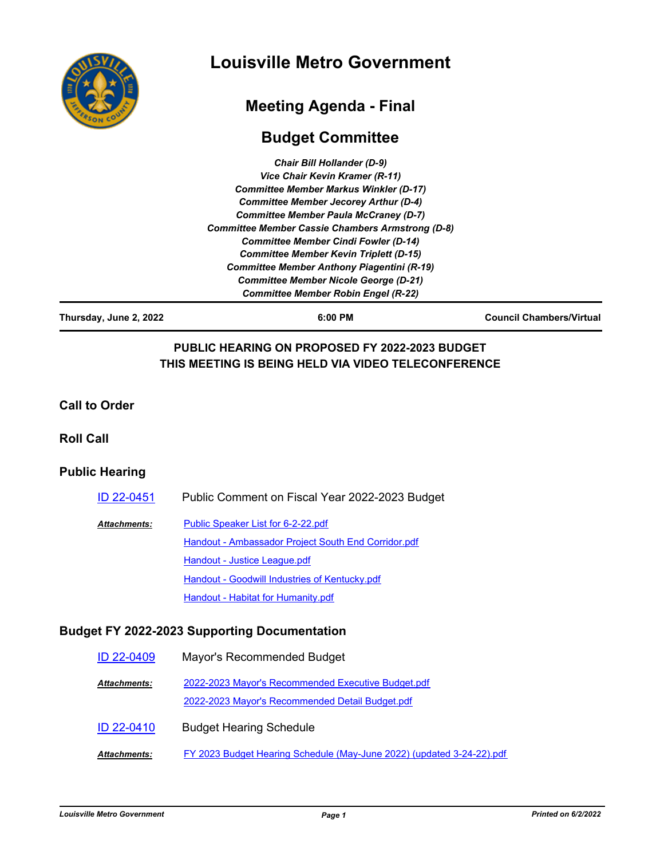

# **Louisville Metro Government**

# **Meeting Agenda - Final**

# **Budget Committee**

| <b>Chair Bill Hollander (D-9)</b>                       |  |
|---------------------------------------------------------|--|
| Vice Chair Kevin Kramer (R-11)                          |  |
| <b>Committee Member Markus Winkler (D-17)</b>           |  |
| <b>Committee Member Jecorey Arthur (D-4)</b>            |  |
| <b>Committee Member Paula McCraney (D-7)</b>            |  |
| <b>Committee Member Cassie Chambers Armstrong (D-8)</b> |  |
| <b>Committee Member Cindi Fowler (D-14)</b>             |  |
| <b>Committee Member Kevin Triplett (D-15)</b>           |  |
| Committee Member Anthony Piagentini (R-19)              |  |
| <b>Committee Member Nicole George (D-21)</b>            |  |
| <b>Committee Member Robin Engel (R-22)</b>              |  |

**Thursday, June 2, 2022 6:00 PM Council Chambers/Virtual**

## **PUBLIC HEARING ON PROPOSED FY 2022-2023 BUDGET THIS MEETING IS BEING HELD VIA VIDEO TELECONFERENCE**

#### **Call to Order**

#### **Roll Call**

#### **Public Hearing**

| ID 22-0451   | Public Comment on Fiscal Year 2022-2023 Budget      |
|--------------|-----------------------------------------------------|
| Attachments: | Public Speaker List for 6-2-22.pdf                  |
|              | Handout - Ambassador Project South End Corridor.pdf |
|              | Handout - Justice League.pdf                        |
|              | Handout - Goodwill Industries of Kentucky.pdf       |
|              | Handout - Habitat for Humanity.pdf                  |

### **Budget FY 2022-2023 Supporting Documentation**

| ID 22-0409          | Mayor's Recommended Budget                                                                            |
|---------------------|-------------------------------------------------------------------------------------------------------|
| <b>Attachments:</b> | 2022-2023 Mayor's Recommended Executive Budget.pdf<br>2022-2023 Mayor's Recommended Detail Budget.pdf |
| ID 22-0410          | <b>Budget Hearing Schedule</b>                                                                        |
| <b>Attachments:</b> | FY 2023 Budget Hearing Schedule (May-June 2022) (updated 3-24-22).pdf                                 |